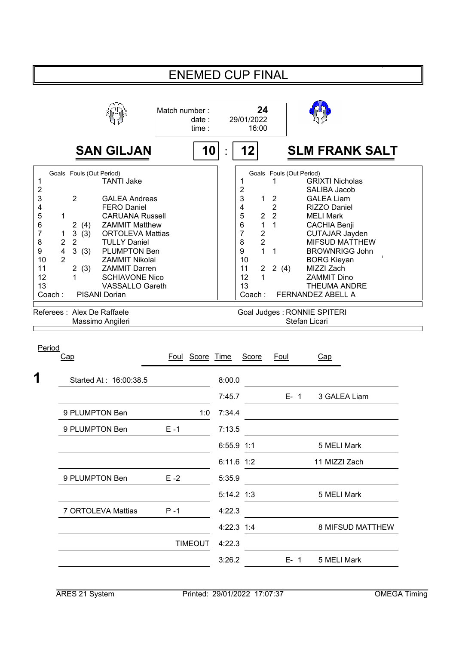|                                                                             |                                                                                                                                                                                                                                               |                                                                                                                                                                                                                                                                                                                                      |               | <b>ENEMED CUP FINAL</b> |              |                                                                                                                                                                                                                                                 |                                                                           |                                           |                                                                                                                                                                                                                                                                                                                                        |
|-----------------------------------------------------------------------------|-----------------------------------------------------------------------------------------------------------------------------------------------------------------------------------------------------------------------------------------------|--------------------------------------------------------------------------------------------------------------------------------------------------------------------------------------------------------------------------------------------------------------------------------------------------------------------------------------|---------------|-------------------------|--------------|-------------------------------------------------------------------------------------------------------------------------------------------------------------------------------------------------------------------------------------------------|---------------------------------------------------------------------------|-------------------------------------------|----------------------------------------------------------------------------------------------------------------------------------------------------------------------------------------------------------------------------------------------------------------------------------------------------------------------------------------|
|                                                                             |                                                                                                                                                                                                                                               |                                                                                                                                                                                                                                                                                                                                      | Match number: | date:<br>time:          |              | 24<br>29/01/2022<br>16:00                                                                                                                                                                                                                       |                                                                           |                                           |                                                                                                                                                                                                                                                                                                                                        |
|                                                                             |                                                                                                                                                                                                                                               | <b>SAN GILJAN</b>                                                                                                                                                                                                                                                                                                                    |               | 10                      |              | 12                                                                                                                                                                                                                                              |                                                                           |                                           | <b>SLM FRANK SALT</b>                                                                                                                                                                                                                                                                                                                  |
| 1<br>2<br>3<br>4<br>5<br>6<br>7<br>8<br>9<br>10<br>11<br>12<br>13<br>Coach: | Goals Fouls (Out Period)<br>2<br>1<br>2<br>(4)<br>$\ensuremath{\mathsf{3}}$<br>(3)<br>1<br>$\overline{2}$<br>$\overline{2}$<br>$\overline{\mathbf{4}}$<br>3(3)<br>$\overline{2}$<br>$\overline{2}$<br>(3)<br>1<br>Referees : Alex De Raffaele | <b>TANTI Jake</b><br><b>GALEA Andreas</b><br><b>FERO Daniel</b><br><b>CARUANA Russell</b><br><b>ZAMMIT Matthew</b><br><b>ORTOLEVA Mattias</b><br><b>TULLY Daniel</b><br>PLUMPTON Ben<br><b>ZAMMIT Nikolai</b><br><b>ZAMMIT Darren</b><br><b>SCHIAVONE Nico</b><br><b>VASSALLO Gareth</b><br><b>PISANI Dorian</b><br>Massimo Angileri |               |                         |              | 1<br>$\overline{\mathbf{c}}$<br>3<br>1<br>4<br>5<br>$\overline{c}$<br>$6\phantom{a}$<br>$\mathbf{1}$<br>$\overline{7}$<br>$\boldsymbol{2}$<br>$\overline{2}$<br>8<br>$\mathbf{1}$<br>9<br>10<br>11<br>$\overline{2}$<br>12<br>1<br>13<br>Coach: | 1<br>$\overline{2}$<br>$\overline{2}$<br>$\overline{2}$<br>1<br>1<br>2(4) | Goals Fouls (Out Period)<br>Stefan Licari | <b>GRIXTI Nicholas</b><br>SALIBA Jacob<br><b>GALEA Liam</b><br>RIZZO Daniel<br><b>MELI Mark</b><br><b>CACHIA Benji</b><br><b>CUTAJAR Jayden</b><br><b>MIFSUD MATTHEW</b><br><b>BROWNRIGG John</b><br><b>BORG Kieyan</b><br>MIZZI Zach<br><b>ZAMMIT Dino</b><br><b>THEUMA ANDRE</b><br>FERNANDEZ ABELL A<br>Goal Judges: RONNIE SPITERI |
| Period                                                                      | Cap                                                                                                                                                                                                                                           |                                                                                                                                                                                                                                                                                                                                      |               | Foul Score Time         |              | <b>Score</b>                                                                                                                                                                                                                                    | Foul                                                                      |                                           | Cap                                                                                                                                                                                                                                                                                                                                    |
| 1                                                                           |                                                                                                                                                                                                                                               | Started At: 16:00:38.5                                                                                                                                                                                                                                                                                                               |               |                         | 8:00.0       |                                                                                                                                                                                                                                                 |                                                                           |                                           |                                                                                                                                                                                                                                                                                                                                        |
|                                                                             |                                                                                                                                                                                                                                               |                                                                                                                                                                                                                                                                                                                                      |               |                         | 7:45.7       |                                                                                                                                                                                                                                                 |                                                                           | $E - 1$                                   | 3 GALEA Liam                                                                                                                                                                                                                                                                                                                           |
|                                                                             | 9 PLUMPTON Ben                                                                                                                                                                                                                                |                                                                                                                                                                                                                                                                                                                                      |               | 1:0                     | 7:34.4       |                                                                                                                                                                                                                                                 |                                                                           |                                           |                                                                                                                                                                                                                                                                                                                                        |
|                                                                             | 9 PLUMPTON Ben                                                                                                                                                                                                                                |                                                                                                                                                                                                                                                                                                                                      | $E - 1$       |                         | 7:13.5       |                                                                                                                                                                                                                                                 |                                                                           |                                           |                                                                                                                                                                                                                                                                                                                                        |
|                                                                             |                                                                                                                                                                                                                                               |                                                                                                                                                                                                                                                                                                                                      |               |                         | 6:55.9 1:1   |                                                                                                                                                                                                                                                 |                                                                           |                                           | 5 MELI Mark                                                                                                                                                                                                                                                                                                                            |
|                                                                             |                                                                                                                                                                                                                                               |                                                                                                                                                                                                                                                                                                                                      |               |                         | $6:11.6$ 1:2 |                                                                                                                                                                                                                                                 |                                                                           |                                           | 11 MIZZI Zach                                                                                                                                                                                                                                                                                                                          |
|                                                                             | 9 PLUMPTON Ben                                                                                                                                                                                                                                |                                                                                                                                                                                                                                                                                                                                      | $E - 2$       |                         | 5:35.9       |                                                                                                                                                                                                                                                 |                                                                           |                                           |                                                                                                                                                                                                                                                                                                                                        |
|                                                                             |                                                                                                                                                                                                                                               |                                                                                                                                                                                                                                                                                                                                      |               |                         | 5:14.2 1:3   |                                                                                                                                                                                                                                                 |                                                                           |                                           | 5 MELI Mark                                                                                                                                                                                                                                                                                                                            |
|                                                                             |                                                                                                                                                                                                                                               | 7 ORTOLEVA Mattias                                                                                                                                                                                                                                                                                                                   | $P - 1$       |                         | 4:22.3       |                                                                                                                                                                                                                                                 |                                                                           |                                           |                                                                                                                                                                                                                                                                                                                                        |
|                                                                             |                                                                                                                                                                                                                                               |                                                                                                                                                                                                                                                                                                                                      |               |                         | 4:22.3 1:4   |                                                                                                                                                                                                                                                 |                                                                           |                                           | 8 MIFSUD MATTHEW                                                                                                                                                                                                                                                                                                                       |
|                                                                             |                                                                                                                                                                                                                                               |                                                                                                                                                                                                                                                                                                                                      |               | <b>TIMEOUT</b>          | 4:22.3       |                                                                                                                                                                                                                                                 |                                                                           |                                           |                                                                                                                                                                                                                                                                                                                                        |
|                                                                             |                                                                                                                                                                                                                                               |                                                                                                                                                                                                                                                                                                                                      |               |                         | 3:26.2       |                                                                                                                                                                                                                                                 |                                                                           | $E - 1$                                   | 5 MELI Mark                                                                                                                                                                                                                                                                                                                            |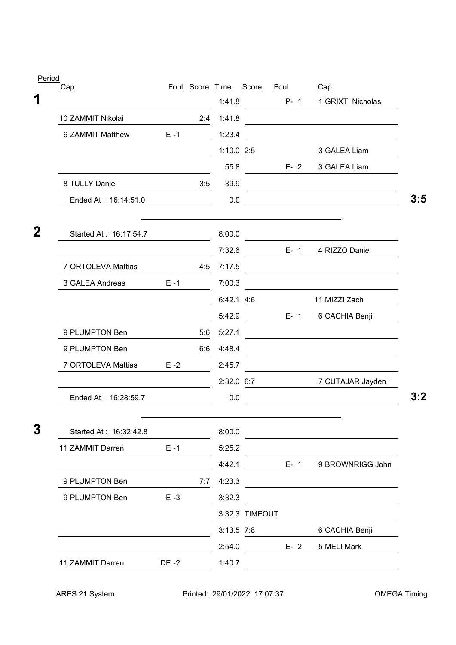| Cap                    |         | Foul Score Time | 1:41.8       | Score          | <u>Foul</u><br>$P - 1$ | Cap<br>1 GRIXTI Nicholas                          |
|------------------------|---------|-----------------|--------------|----------------|------------------------|---------------------------------------------------|
| 10 ZAMMIT Nikolai      |         | 2:4             | 1:41.8       |                |                        |                                                   |
| 6 ZAMMIT Matthew       | $E - 1$ |                 | 1:23.4       |                |                        |                                                   |
|                        |         |                 | 1:10.0 2:5   |                |                        | 3 GALEA Liam                                      |
|                        |         |                 | 55.8         |                | $E-2$                  | 3 GALEA Liam                                      |
| 8 TULLY Daniel         |         | 3:5             | 39.9         |                |                        |                                                   |
| Ended At: 16:14:51.0   |         |                 | 0.0          |                |                        | <u> 1980 - Johann Barbara, martxa alemaniar a</u> |
|                        |         |                 |              |                |                        |                                                   |
| Started At: 16:17:54.7 |         |                 | 8:00.0       |                |                        |                                                   |
|                        |         |                 | 7:32.6       |                |                        | E- 1 4 RIZZO Daniel                               |
| 7 ORTOLEVA Mattias     |         | 4:5             | 7:17.5       |                |                        |                                                   |
| 3 GALEA Andreas        | $E - 1$ |                 | 7:00.3       |                |                        |                                                   |
|                        |         |                 | 6:42.1 4:6   |                |                        | 11 MIZZI Zach                                     |
|                        |         |                 | 5:42.9       |                | $E - 1$                | 6 CACHIA Benji                                    |
| 9 PLUMPTON Ben         |         | 5:6             | 5:27.1       |                |                        |                                                   |
| 9 PLUMPTON Ben         |         | 6:6             | 4:48.4       |                |                        |                                                   |
| 7 ORTOLEVA Mattias     | $E - 2$ |                 | 2:45.7       |                |                        |                                                   |
|                        |         |                 |              |                | 2:32.0 6:7             | 7 CUTAJAR Jayden                                  |
| Ended At: 16:28:59.7   |         |                 | 0.0          |                |                        |                                                   |
|                        |         |                 |              |                |                        |                                                   |
| Started At: 16:32:42.8 |         |                 | 8:00.0       |                |                        |                                                   |
| 11 ZAMMIT Darren       | $E - 1$ |                 | 5:25.2       |                |                        |                                                   |
|                        |         |                 | 4:42.1       |                | $E - 1$                | 9 BROWNRIGG John                                  |
| 9 PLUMPTON Ben         |         | 7:7             | 4:23.3       |                |                        |                                                   |
| 9 PLUMPTON Ben         | $E - 3$ |                 | 3:32.3       |                |                        |                                                   |
|                        |         |                 |              | 3:32.3 TIMEOUT |                        |                                                   |
|                        |         |                 |              |                |                        |                                                   |
|                        |         |                 | $3:13.5$ 7:8 |                |                        | 6 CACHIA Benji                                    |
|                        |         |                 | 2:54.0       |                | $E - 2$                | 5 MELI Mark                                       |